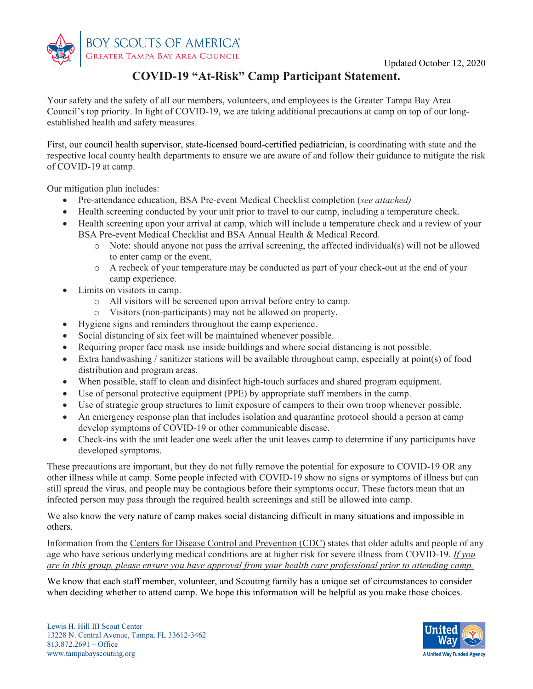

# **COVID-19 "At-Risk" Camp Participant Statement.**

Your safety and the safety of all our members, volunteers, and employees is the Greater Tampa Bay Area Council's top priority. In light of COVID-19, we are taking additional precautions at camp on top of our longestablished health and safety measures.

First, our council health supervisor, state-licensed board-certified pediatrician, is coordinating with state and the respective local county health departments to ensure we are aware of and follow their guidance to mitigate the risk of COVID-19 at camp.

Our mitigation plan includes:

- Pre-attendance education, BSA Pre-event Medical Checklist completion (*see attached)*
- Health screening conducted by your unit prior to travel to our camp, including a temperature check.
- Health screening upon your arrival at camp, which will include a temperature check and a review of your BSA Pre-event Medical Checklist and BSA Annual Health & Medical Record.
	- $\circ$  Note: should anyone not pass the arrival screening, the affected individual(s) will not be allowed to enter camp or the event.
	- o A recheck of your temperature may be conducted as part of your check-out at the end of your camp experience.
- Limits on visitors in camp.
	- o All visitors will be screened upon arrival before entry to camp.
	- o Visitors (non-participants) may not be allowed on property.
- Hygiene signs and reminders throughout the camp experience.
- Social distancing of six feet will be maintained whenever possible.
- Requiring proper face mask use inside buildings and where social distancing is not possible.
- Extra handwashing / sanitizer stations will be available throughout camp, especially at point(s) of food distribution and program areas.
- When possible, staff to clean and disinfect high-touch surfaces and shared program equipment.
- Use of personal protective equipment (PPE) by appropriate staff members in the camp.
- Use of strategic group structures to limit exposure of campers to their own troop whenever possible.
- An emergency response plan that includes isolation and quarantine protocol should a person at camp develop symptoms of COVID-19 or other communicable disease.
- Check-ins with the unit leader one week after the unit leaves camp to determine if any participants have developed symptoms.

These precautions are important, but they do not fully remove the potential for exposure to COVID-19 OR any other illness while at camp. Some people infected with COVID-19 show no signs or symptoms of illness but can still spread the virus, and people may be contagious before their symptoms occur. These factors mean that an infected person may pass through the required health screenings and still be allowed into camp.

We also know the very nature of camp makes social distancing difficult in many situations and impossible in others.

Information from the Centers for Disease Control and Prevention (CDC) states that older adults and people of any age who have serious underlying medical conditions are at higher risk for severe illness from COVID-19. *If you are in this group, please ensure you have approval from your health care professional prior to attending camp.*

We know that each staff member, volunteer, and Scouting family has a unique set of circumstances to consider when deciding whether to attend camp. We hope this information will be helpful as you make those choices.

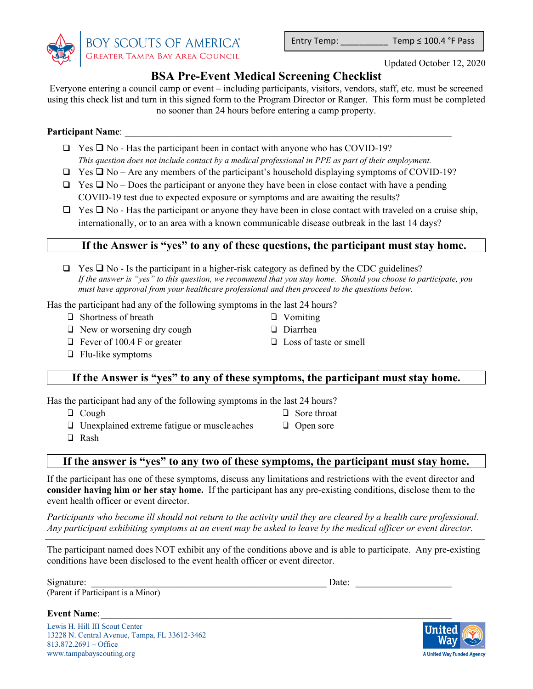

Entry Temp:  $Temp \leq 100.4$  °F Pass

# **BSA Pre-Event Medical Screening Checklist**

Everyone entering a council camp or event – including participants, visitors, vendors, staff, etc. must be screened using this check list and turn in this signed form to the Program Director or Ranger. This form must be completed no sooner than 24 hours before entering a camp property.

## **Participant Name:**

- $\Box$  Yes  $\Box$  No Has the participant been in contact with anyone who has COVID-19? *This question does not include contact by a medical professional in PPE as part of their employment.*
- $\Box$  Yes  $\Box$  No Are any members of the participant's household displaying symptoms of COVID-19?
- $\Box$  Yes  $\Box$  No Does the participant or anyone they have been in close contact with have a pending COVID-19 test due to expected exposure or symptoms and are awaiting the results?
- $\Box$  Yes  $\Box$  No Has the participant or anyone they have been in close contact with traveled on a cruise ship, internationally, or to an area with a known communicable disease outbreak in the last 14 days?

# **If the Answer is "yes" to any of these questions, the participant must stay home.**

 $\Box$  Yes  $\Box$  No - Is the participant in a higher-risk category as defined by the CDC guidelines? *If the answer is "yes" to this question, we recommend that you stay home. Should you choose to participate, you must have approval from your healthcare professional and then proceed to the questions below.*

> ❑ Vomiting ❑ Diarrhea

Has the participant had any of the following symptoms in the last 24 hours?

- ❑ Shortness of breath
- ❑ New or worsening dry cough
- ❑ Fever of 100.4 F or greater
- ❑ Flu-like symptoms

# **If the Answer is "yes" to any of these symptoms, the participant must stay home.**

Has the participant had any of the following symptoms in the last 24 hours?

❑ Cough

❑ Sore throat ❑ Open sore

❑ Loss of taste or smell

❑ Unexplained extreme fatigue or muscle aches ❑ Rash

## **If the answer is "yes" to any two of these symptoms, the participant must stay home.**

If the participant has one of these symptoms, discuss any limitations and restrictions with the event director and **consider having him or her stay home.** If the participant has any pre-existing conditions, disclose them to the event health officer or event director.

*Participants who become ill should not return to the activity until they are cleared by a health care professional. Any participant exhibiting symptoms at an event may be asked to leave by the medical officer or event director.* 

The participant named does NOT exhibit any of the conditions above and is able to participate. Any pre-existing conditions have been disclosed to the event health officer or event director.

| $\sim$ $\cdot$<br>Signature: | Jate |  |
|------------------------------|------|--|
|                              |      |  |

(Parent if Participant is a Minor)

**Event Name:** 

Lewis H. Hill III Scout Center 13228 N. Central Avenue, Tampa, FL 33612-3462 813.872.2691 – Office www.tampabayscouting.org

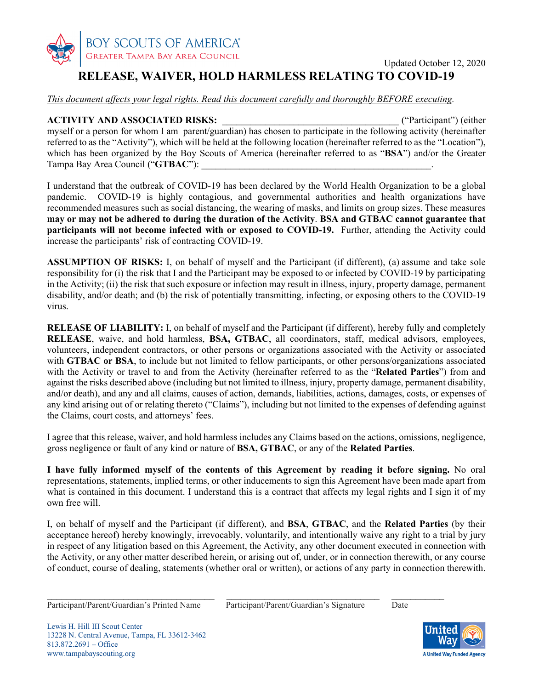

# **RELEASE, WAIVER, HOLD HARMLESS RELATING TO COVID-19**

*This document affects your legal rights. Read this document carefully and thoroughly BEFORE executing.* 

**ACTIVITY AND ASSOCIATED RISKS:**  $($ "Participant") (either myself or a person for whom I am parent/guardian) has chosen to participate in the following activity (hereinafter referred to as the "Activity"), which will be held at the following location (hereinafter referred to as the "Location"), which has been organized by the Boy Scouts of America (hereinafter referred to as "**BSA**") and/or the Greater Tampa Bay Area Council ("**GTBAC**"):

I understand that the outbreak of COVID-19 has been declared by the World Health Organization to be a global pandemic. COVID-19 is highly contagious, and governmental authorities and health organizations have recommended measures such as social distancing, the wearing of masks, and limits on group sizes. These measures **may or may not be adhered to during the duration of the Activity**. **BSA and GTBAC cannot guarantee that participants will not become infected with or exposed to COVID-19.** Further, attending the Activity could increase the participants' risk of contracting COVID-19.

**ASSUMPTION OF RISKS:** I, on behalf of myself and the Participant (if different), (a) assume and take sole responsibility for (i) the risk that I and the Participant may be exposed to or infected by COVID-19 by participating in the Activity; (ii) the risk that such exposure or infection may result in illness, injury, property damage, permanent disability, and/or death; and (b) the risk of potentially transmitting, infecting, or exposing others to the COVID-19 virus.

**RELEASE OF LIABILITY:** I, on behalf of myself and the Participant (if different), hereby fully and completely **RELEASE**, waive, and hold harmless, **BSA, GTBAC**, all coordinators, staff, medical advisors, employees, volunteers, independent contractors, or other persons or organizations associated with the Activity or associated with **GTBAC** or **BSA**, to include but not limited to fellow participants, or other persons/organizations associated with the Activity or travel to and from the Activity (hereinafter referred to as the "**Related Parties**") from and against the risks described above (including but not limited to illness, injury, property damage, permanent disability, and/or death), and any and all claims, causes of action, demands, liabilities, actions, damages, costs, or expenses of any kind arising out of or relating thereto ("Claims"), including but not limited to the expenses of defending against the Claims, court costs, and attorneys' fees.

I agree that this release, waiver, and hold harmless includes any Claims based on the actions, omissions, negligence, gross negligence or fault of any kind or nature of **BSA, GTBAC**, or any of the **Related Parties**.

**I have fully informed myself of the contents of this Agreement by reading it before signing.** No oral representations, statements, implied terms, or other inducements to sign this Agreement have been made apart from what is contained in this document. I understand this is a contract that affects my legal rights and I sign it of my own free will.

I, on behalf of myself and the Participant (if different), and **BSA**, **GTBAC**, and the **Related Parties** (by their acceptance hereof) hereby knowingly, irrevocably, voluntarily, and intentionally waive any right to a trial by jury in respect of any litigation based on this Agreement, the Activity, any other document executed in connection with the Activity, or any other matter described herein, or arising out of, under, or in connection therewith, or any course of conduct, course of dealing, statements (whether oral or written), or actions of any party in connection therewith.

 $\mathcal{L}_\mathcal{L} = \{ \mathcal{L}_\mathcal{L} = \{ \mathcal{L}_\mathcal{L} = \{ \mathcal{L}_\mathcal{L} = \{ \mathcal{L}_\mathcal{L} = \{ \mathcal{L}_\mathcal{L} = \{ \mathcal{L}_\mathcal{L} = \{ \mathcal{L}_\mathcal{L} = \{ \mathcal{L}_\mathcal{L} = \{ \mathcal{L}_\mathcal{L} = \{ \mathcal{L}_\mathcal{L} = \{ \mathcal{L}_\mathcal{L} = \{ \mathcal{L}_\mathcal{L} = \{ \mathcal{L}_\mathcal{L} = \{ \mathcal{L}_\mathcal{$ 

Participant/Parent/Guardian's Printed Name Participant/Parent/Guardian's Signature Date

Lewis H. Hill III Scout Center 13228 N. Central Avenue, Tampa, FL 33612-3462 813.872.2691 – Office www.tampabayscouting.org